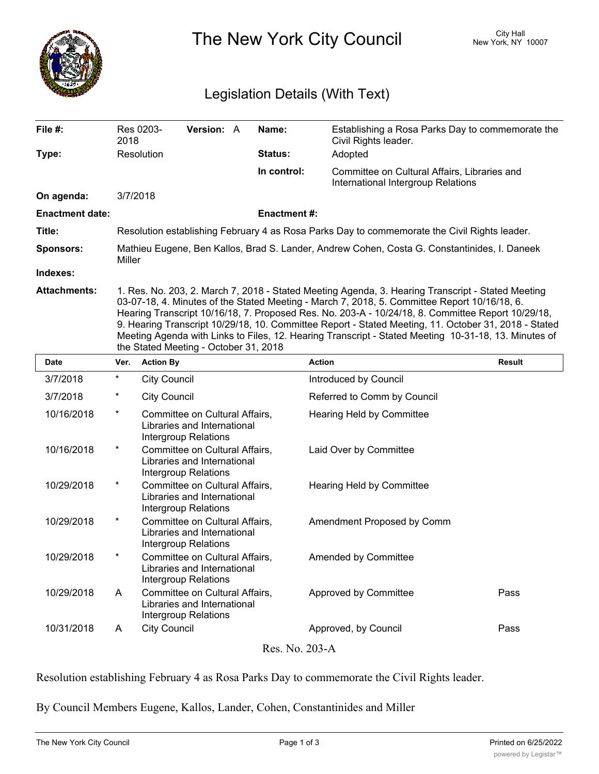

The New York City Council New York, NY 10007

## Legislation Details (With Text)

| File $#$ :             | Res 0203-<br>2018                                                                                                                                                                                 | <b>Version: A</b> |  | Name:               | Establishing a Rosa Parks Day to commemorate the<br>Civil Rights leader.           |  |  |
|------------------------|---------------------------------------------------------------------------------------------------------------------------------------------------------------------------------------------------|-------------------|--|---------------------|------------------------------------------------------------------------------------|--|--|
| Type:                  | Resolution                                                                                                                                                                                        |                   |  | <b>Status:</b>      | Adopted                                                                            |  |  |
|                        |                                                                                                                                                                                                   |                   |  | In control:         | Committee on Cultural Affairs, Libraries and<br>International Intergroup Relations |  |  |
| On agenda:             | 3/7/2018                                                                                                                                                                                          |                   |  |                     |                                                                                    |  |  |
| <b>Enactment date:</b> |                                                                                                                                                                                                   |                   |  | <b>Enactment #:</b> |                                                                                    |  |  |
| Title:                 | Resolution establishing February 4 as Rosa Parks Day to commemorate the Civil Rights leader.                                                                                                      |                   |  |                     |                                                                                    |  |  |
| <b>Sponsors:</b>       | Mathieu Eugene, Ben Kallos, Brad S. Lander, Andrew Cohen, Costa G. Constantinides, I. Daneek<br>Miller                                                                                            |                   |  |                     |                                                                                    |  |  |
| Indexes:               |                                                                                                                                                                                                   |                   |  |                     |                                                                                    |  |  |
| <b>Attachments:</b>    | 1. Res. No. 203, 2. March 7, 2018 - Stated Meeting Agenda, 3. Hearing Transcript - Stated Meeting<br>03-07-18, 4. Minutes of the Stated Meeting - March 7, 2018, 5. Committee Report 10/16/18, 6. |                   |  |                     |                                                                                    |  |  |

03-07-18, 4. Minutes of the Stated Meeting - March 7, 2018, 5. Committee Report 10/16/18, 6. Hearing Transcript 10/16/18, 7. Proposed Res. No. 203-A - 10/24/18, 8. Committee Report 10/29/18, 9. Hearing Transcript 10/29/18, 10. Committee Report - Stated Meeting, 11. October 31, 2018 - Stated Meeting Agenda with Links to Files, 12. Hearing Transcript - Stated Meeting 10-31-18, 13. Minutes of the Stated Meeting - October 31, 2018

| Date           | Ver.     | <b>Action By</b>                                                                      | <b>Action</b>               | <b>Result</b> |  |  |  |  |
|----------------|----------|---------------------------------------------------------------------------------------|-----------------------------|---------------|--|--|--|--|
| 3/7/2018       | $\ast$   | <b>City Council</b>                                                                   | Introduced by Council       |               |  |  |  |  |
| 3/7/2018       | $^\star$ | <b>City Council</b>                                                                   | Referred to Comm by Council |               |  |  |  |  |
| 10/16/2018     | $^\star$ | Committee on Cultural Affairs,<br>Libraries and International<br>Intergroup Relations | Hearing Held by Committee   |               |  |  |  |  |
| 10/16/2018     | $^\star$ | Committee on Cultural Affairs,<br>Libraries and International<br>Intergroup Relations | Laid Over by Committee      |               |  |  |  |  |
| 10/29/2018     | $^\star$ | Committee on Cultural Affairs,<br>Libraries and International<br>Intergroup Relations | Hearing Held by Committee   |               |  |  |  |  |
| 10/29/2018     | $^\star$ | Committee on Cultural Affairs,<br>Libraries and International<br>Intergroup Relations | Amendment Proposed by Comm  |               |  |  |  |  |
| 10/29/2018     | $^\ast$  | Committee on Cultural Affairs,<br>Libraries and International<br>Intergroup Relations | Amended by Committee        |               |  |  |  |  |
| 10/29/2018     | A        | Committee on Cultural Affairs,<br>Libraries and International<br>Intergroup Relations | Approved by Committee       | Pass          |  |  |  |  |
| 10/31/2018     | A        | <b>City Council</b>                                                                   | Approved, by Council        | Pass          |  |  |  |  |
| Res. No. 203-A |          |                                                                                       |                             |               |  |  |  |  |

Resolution establishing February 4 as Rosa Parks Day to commemorate the Civil Rights leader.

By Council Members Eugene, Kallos, Lander, Cohen, Constantinides and Miller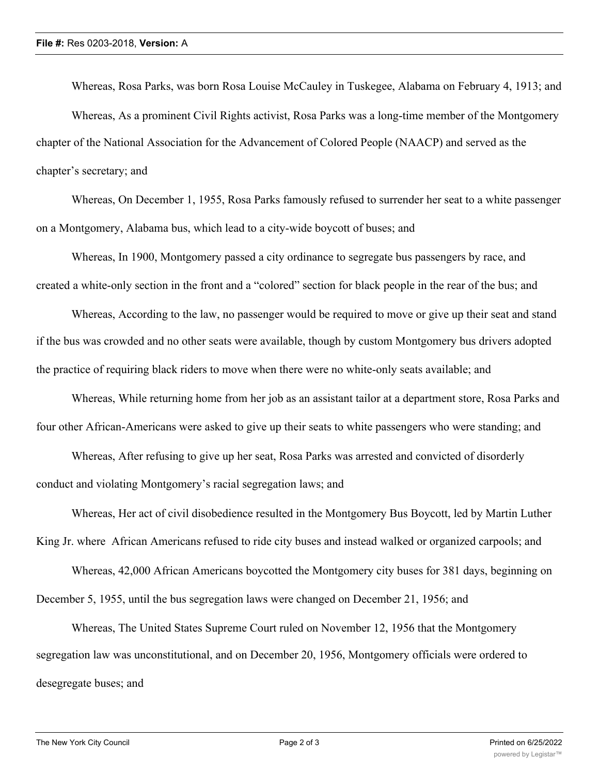Whereas, Rosa Parks, was born Rosa Louise McCauley in Tuskegee, Alabama on February 4, 1913; and Whereas, As a prominent Civil Rights activist, Rosa Parks was a long-time member of the Montgomery chapter of the National Association for the Advancement of Colored People (NAACP) and served as the chapter's secretary; and

Whereas, On December 1, 1955, Rosa Parks famously refused to surrender her seat to a white passenger on a Montgomery, Alabama bus, which lead to a city-wide boycott of buses; and

Whereas, In 1900, Montgomery passed a city ordinance to segregate bus passengers by race, and created a white-only section in the front and a "colored" section for black people in the rear of the bus; and

Whereas, According to the law, no passenger would be required to move or give up their seat and stand if the bus was crowded and no other seats were available, though by custom Montgomery bus drivers adopted the practice of requiring black riders to move when there were no white-only seats available; and

Whereas, While returning home from her job as an assistant tailor at a department store, Rosa Parks and four other African-Americans were asked to give up their seats to white passengers who were standing; and

Whereas, After refusing to give up her seat, Rosa Parks was arrested and convicted of disorderly conduct and violating Montgomery's racial segregation laws; and

Whereas, Her act of civil disobedience resulted in the Montgomery Bus Boycott, led by Martin Luther King Jr. where African Americans refused to ride city buses and instead walked or organized carpools; and

Whereas, 42,000 African Americans boycotted the Montgomery city buses for 381 days, beginning on December 5, 1955, until the bus segregation laws were changed on December 21, 1956; and

Whereas, The United States Supreme Court ruled on November 12, 1956 that the Montgomery segregation law was unconstitutional, and on December 20, 1956, Montgomery officials were ordered to desegregate buses; and